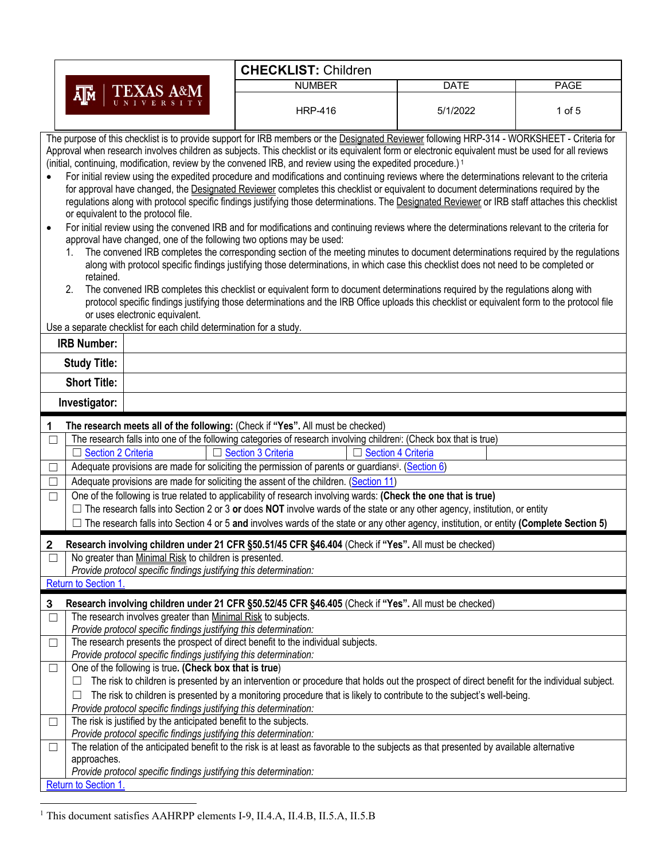|                                                                                                                                                                                                                                                                                                                                                                                                                                                                                                                                                                                                                                                                                                                                                                                                                                                                                                                                                                                                                                                                                                                                                                                                                                                                       | <b>CHECKLIST: Children</b>                                                                                                                                                                                                                                                                                                                                                                                                                                                                                                                                   |             |             |
|-----------------------------------------------------------------------------------------------------------------------------------------------------------------------------------------------------------------------------------------------------------------------------------------------------------------------------------------------------------------------------------------------------------------------------------------------------------------------------------------------------------------------------------------------------------------------------------------------------------------------------------------------------------------------------------------------------------------------------------------------------------------------------------------------------------------------------------------------------------------------------------------------------------------------------------------------------------------------------------------------------------------------------------------------------------------------------------------------------------------------------------------------------------------------------------------------------------------------------------------------------------------------|--------------------------------------------------------------------------------------------------------------------------------------------------------------------------------------------------------------------------------------------------------------------------------------------------------------------------------------------------------------------------------------------------------------------------------------------------------------------------------------------------------------------------------------------------------------|-------------|-------------|
| <b>TEXAS A&amp;M</b>                                                                                                                                                                                                                                                                                                                                                                                                                                                                                                                                                                                                                                                                                                                                                                                                                                                                                                                                                                                                                                                                                                                                                                                                                                                  | <b>NUMBER</b>                                                                                                                                                                                                                                                                                                                                                                                                                                                                                                                                                | <b>DATE</b> | <b>PAGE</b> |
| Д™                                                                                                                                                                                                                                                                                                                                                                                                                                                                                                                                                                                                                                                                                                                                                                                                                                                                                                                                                                                                                                                                                                                                                                                                                                                                    | <b>HRP-416</b>                                                                                                                                                                                                                                                                                                                                                                                                                                                                                                                                               | 5/1/2022    | $1$ of $5$  |
| The purpose of this checklist is to provide support for IRB members or the Designated Reviewer following HRP-314 - WORKSHEET - Criteria for<br>Approval when research involves children as subjects. This checklist or its equivalent form or electronic equivalent must be used for all reviews<br>(initial, continuing, modification, review by the convened IRB, and review using the expedited procedure.) <sup>1</sup><br>For initial review using the expedited procedure and modifications and continuing reviews where the determinations relevant to the criteria<br>for approval have changed, the Designated Reviewer completes this checklist or equivalent to document determinations required by the<br>regulations along with protocol specific findings justifying those determinations. The Designated Reviewer or IRB staff attaches this checklist<br>or equivalent to the protocol file.<br>For initial review using the convened IRB and for modifications and continuing reviews where the determinations relevant to the criteria for<br>approval have changed, one of the following two options may be used:<br>1.<br>retained.<br>2.<br>or uses electronic equivalent.<br>Use a separate checklist for each child determination for a study. | The convened IRB completes the corresponding section of the meeting minutes to document determinations required by the regulations<br>along with protocol specific findings justifying those determinations, in which case this checklist does not need to be completed or<br>The convened IRB completes this checklist or equivalent form to document determinations required by the regulations along with<br>protocol specific findings justifying those determinations and the IRB Office uploads this checklist or equivalent form to the protocol file |             |             |
| <b>IRB Number:</b>                                                                                                                                                                                                                                                                                                                                                                                                                                                                                                                                                                                                                                                                                                                                                                                                                                                                                                                                                                                                                                                                                                                                                                                                                                                    |                                                                                                                                                                                                                                                                                                                                                                                                                                                                                                                                                              |             |             |
| <b>Study Title:</b>                                                                                                                                                                                                                                                                                                                                                                                                                                                                                                                                                                                                                                                                                                                                                                                                                                                                                                                                                                                                                                                                                                                                                                                                                                                   |                                                                                                                                                                                                                                                                                                                                                                                                                                                                                                                                                              |             |             |
| <b>Short Title:</b>                                                                                                                                                                                                                                                                                                                                                                                                                                                                                                                                                                                                                                                                                                                                                                                                                                                                                                                                                                                                                                                                                                                                                                                                                                                   |                                                                                                                                                                                                                                                                                                                                                                                                                                                                                                                                                              |             |             |
| Investigator:                                                                                                                                                                                                                                                                                                                                                                                                                                                                                                                                                                                                                                                                                                                                                                                                                                                                                                                                                                                                                                                                                                                                                                                                                                                         |                                                                                                                                                                                                                                                                                                                                                                                                                                                                                                                                                              |             |             |
| The research meets all of the following: (Check if "Yes". All must be checked)<br>1                                                                                                                                                                                                                                                                                                                                                                                                                                                                                                                                                                                                                                                                                                                                                                                                                                                                                                                                                                                                                                                                                                                                                                                   |                                                                                                                                                                                                                                                                                                                                                                                                                                                                                                                                                              |             |             |
| $\Box$                                                                                                                                                                                                                                                                                                                                                                                                                                                                                                                                                                                                                                                                                                                                                                                                                                                                                                                                                                                                                                                                                                                                                                                                                                                                | The research falls into one of the following categories of research involving children <sup>i</sup> : (Check box that is true)                                                                                                                                                                                                                                                                                                                                                                                                                               |             |             |
| □ Section 2 Criteria                                                                                                                                                                                                                                                                                                                                                                                                                                                                                                                                                                                                                                                                                                                                                                                                                                                                                                                                                                                                                                                                                                                                                                                                                                                  | □ Section 3 Criteria<br>$\Box$ Section 4 Criteria                                                                                                                                                                                                                                                                                                                                                                                                                                                                                                            |             |             |
| □                                                                                                                                                                                                                                                                                                                                                                                                                                                                                                                                                                                                                                                                                                                                                                                                                                                                                                                                                                                                                                                                                                                                                                                                                                                                     | Adequate provisions are made for soliciting the permission of parents or guardians <sup>ij</sup> . (Section 6)                                                                                                                                                                                                                                                                                                                                                                                                                                               |             |             |
| □                                                                                                                                                                                                                                                                                                                                                                                                                                                                                                                                                                                                                                                                                                                                                                                                                                                                                                                                                                                                                                                                                                                                                                                                                                                                     | Adequate provisions are made for soliciting the assent of the children. (Section 11)                                                                                                                                                                                                                                                                                                                                                                                                                                                                         |             |             |
| $\Box$                                                                                                                                                                                                                                                                                                                                                                                                                                                                                                                                                                                                                                                                                                                                                                                                                                                                                                                                                                                                                                                                                                                                                                                                                                                                | One of the following is true related to applicability of research involving wards: (Check the one that is true)                                                                                                                                                                                                                                                                                                                                                                                                                                              |             |             |
|                                                                                                                                                                                                                                                                                                                                                                                                                                                                                                                                                                                                                                                                                                                                                                                                                                                                                                                                                                                                                                                                                                                                                                                                                                                                       | $\Box$ The research falls into Section 2 or 3 or does NOT involve wards of the state or any other agency, institution, or entity                                                                                                                                                                                                                                                                                                                                                                                                                             |             |             |
|                                                                                                                                                                                                                                                                                                                                                                                                                                                                                                                                                                                                                                                                                                                                                                                                                                                                                                                                                                                                                                                                                                                                                                                                                                                                       | The research falls into Section 4 or 5 and involves wards of the state or any other agency, institution, or entity (Complete Section 5)                                                                                                                                                                                                                                                                                                                                                                                                                      |             |             |
| 2<br>Research involving children under 21 CFR §50.51/45 CFR §46.404 (Check if "Yes". All must be checked)                                                                                                                                                                                                                                                                                                                                                                                                                                                                                                                                                                                                                                                                                                                                                                                                                                                                                                                                                                                                                                                                                                                                                             |                                                                                                                                                                                                                                                                                                                                                                                                                                                                                                                                                              |             |             |
| No greater than Minimal Risk to children is presented.<br>$\Box$                                                                                                                                                                                                                                                                                                                                                                                                                                                                                                                                                                                                                                                                                                                                                                                                                                                                                                                                                                                                                                                                                                                                                                                                      |                                                                                                                                                                                                                                                                                                                                                                                                                                                                                                                                                              |             |             |
| Provide protocol specific findings justifying this determination:<br>Return to Section 1.                                                                                                                                                                                                                                                                                                                                                                                                                                                                                                                                                                                                                                                                                                                                                                                                                                                                                                                                                                                                                                                                                                                                                                             |                                                                                                                                                                                                                                                                                                                                                                                                                                                                                                                                                              |             |             |
| Research involving children under 21 CFR §50.52/45 CFR §46.405 (Check if "Yes". All must be checked)<br>3                                                                                                                                                                                                                                                                                                                                                                                                                                                                                                                                                                                                                                                                                                                                                                                                                                                                                                                                                                                                                                                                                                                                                             |                                                                                                                                                                                                                                                                                                                                                                                                                                                                                                                                                              |             |             |
| The research involves greater than Minimal Risk to subjects.<br>$\Box$                                                                                                                                                                                                                                                                                                                                                                                                                                                                                                                                                                                                                                                                                                                                                                                                                                                                                                                                                                                                                                                                                                                                                                                                |                                                                                                                                                                                                                                                                                                                                                                                                                                                                                                                                                              |             |             |
| Provide protocol specific findings justifying this determination:<br>The research presents the prospect of direct benefit to the individual subjects.                                                                                                                                                                                                                                                                                                                                                                                                                                                                                                                                                                                                                                                                                                                                                                                                                                                                                                                                                                                                                                                                                                                 |                                                                                                                                                                                                                                                                                                                                                                                                                                                                                                                                                              |             |             |
| $\Box$<br>Provide protocol specific findings justifying this determination:                                                                                                                                                                                                                                                                                                                                                                                                                                                                                                                                                                                                                                                                                                                                                                                                                                                                                                                                                                                                                                                                                                                                                                                           |                                                                                                                                                                                                                                                                                                                                                                                                                                                                                                                                                              |             |             |
| One of the following is true. (Check box that is true)<br>$\Box$                                                                                                                                                                                                                                                                                                                                                                                                                                                                                                                                                                                                                                                                                                                                                                                                                                                                                                                                                                                                                                                                                                                                                                                                      |                                                                                                                                                                                                                                                                                                                                                                                                                                                                                                                                                              |             |             |
| ⊔                                                                                                                                                                                                                                                                                                                                                                                                                                                                                                                                                                                                                                                                                                                                                                                                                                                                                                                                                                                                                                                                                                                                                                                                                                                                     | The risk to children is presented by an intervention or procedure that holds out the prospect of direct benefit for the individual subject.                                                                                                                                                                                                                                                                                                                                                                                                                  |             |             |
| ப                                                                                                                                                                                                                                                                                                                                                                                                                                                                                                                                                                                                                                                                                                                                                                                                                                                                                                                                                                                                                                                                                                                                                                                                                                                                     | The risk to children is presented by a monitoring procedure that is likely to contribute to the subject's well-being.                                                                                                                                                                                                                                                                                                                                                                                                                                        |             |             |
| Provide protocol specific findings justifying this determination:                                                                                                                                                                                                                                                                                                                                                                                                                                                                                                                                                                                                                                                                                                                                                                                                                                                                                                                                                                                                                                                                                                                                                                                                     |                                                                                                                                                                                                                                                                                                                                                                                                                                                                                                                                                              |             |             |
| The risk is justified by the anticipated benefit to the subjects.<br>$\Box$<br>Provide protocol specific findings justifying this determination:                                                                                                                                                                                                                                                                                                                                                                                                                                                                                                                                                                                                                                                                                                                                                                                                                                                                                                                                                                                                                                                                                                                      |                                                                                                                                                                                                                                                                                                                                                                                                                                                                                                                                                              |             |             |
| $\Box$                                                                                                                                                                                                                                                                                                                                                                                                                                                                                                                                                                                                                                                                                                                                                                                                                                                                                                                                                                                                                                                                                                                                                                                                                                                                |                                                                                                                                                                                                                                                                                                                                                                                                                                                                                                                                                              |             |             |
| The relation of the anticipated benefit to the risk is at least as favorable to the subjects as that presented by available alternative<br>approaches.                                                                                                                                                                                                                                                                                                                                                                                                                                                                                                                                                                                                                                                                                                                                                                                                                                                                                                                                                                                                                                                                                                                |                                                                                                                                                                                                                                                                                                                                                                                                                                                                                                                                                              |             |             |
| Provide protocol specific findings justifying this determination:                                                                                                                                                                                                                                                                                                                                                                                                                                                                                                                                                                                                                                                                                                                                                                                                                                                                                                                                                                                                                                                                                                                                                                                                     |                                                                                                                                                                                                                                                                                                                                                                                                                                                                                                                                                              |             |             |
|                                                                                                                                                                                                                                                                                                                                                                                                                                                                                                                                                                                                                                                                                                                                                                                                                                                                                                                                                                                                                                                                                                                                                                                                                                                                       |                                                                                                                                                                                                                                                                                                                                                                                                                                                                                                                                                              |             |             |

<sup>&</sup>lt;sup>1</sup> This document satisfies AAHRPP elements I-9, II.4.A, II.4.B, II.5.A, II.5.B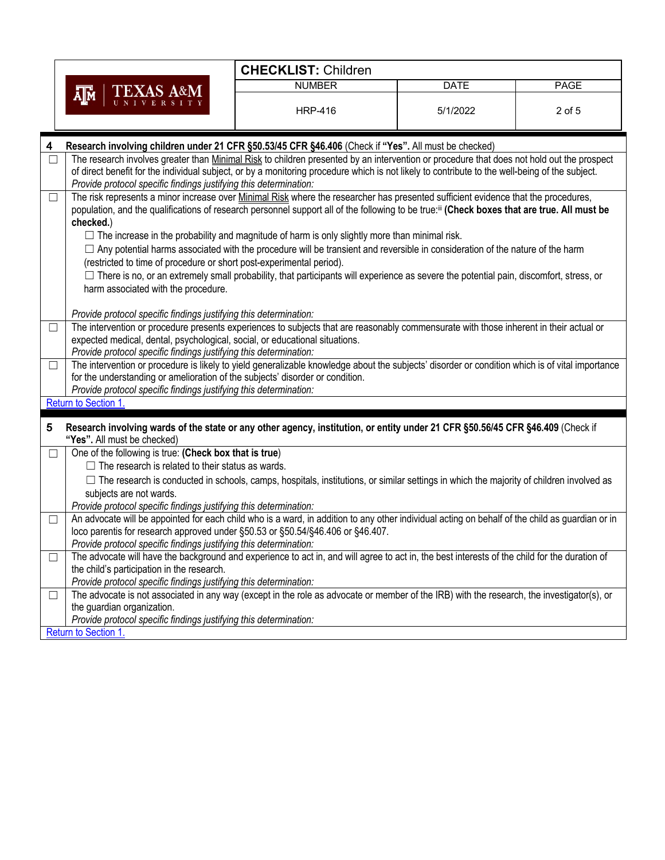|                             |                                                                                                                                                                                                                                                                                                                                                                 | <b>CHECKLIST: Children</b>                                                                                                                                                                                                                                                                                                                                                                                                                                                                                                          |             |             |
|-----------------------------|-----------------------------------------------------------------------------------------------------------------------------------------------------------------------------------------------------------------------------------------------------------------------------------------------------------------------------------------------------------------|-------------------------------------------------------------------------------------------------------------------------------------------------------------------------------------------------------------------------------------------------------------------------------------------------------------------------------------------------------------------------------------------------------------------------------------------------------------------------------------------------------------------------------------|-------------|-------------|
|                             |                                                                                                                                                                                                                                                                                                                                                                 | <b>NUMBER</b>                                                                                                                                                                                                                                                                                                                                                                                                                                                                                                                       | <b>DATE</b> | <b>PAGE</b> |
| <b>TEXAS A&amp;M</b><br>λ∏м | <b>HRP-416</b>                                                                                                                                                                                                                                                                                                                                                  | 5/1/2022                                                                                                                                                                                                                                                                                                                                                                                                                                                                                                                            | 2 of 5      |             |
| 4                           | Research involving children under 21 CFR §50.53/45 CFR §46.406 (Check if "Yes". All must be checked)                                                                                                                                                                                                                                                            |                                                                                                                                                                                                                                                                                                                                                                                                                                                                                                                                     |             |             |
| $\Box$                      | Provide protocol specific findings justifying this determination:                                                                                                                                                                                                                                                                                               | The research involves greater than Minimal Risk to children presented by an intervention or procedure that does not hold out the prospect<br>of direct benefit for the individual subject, or by a monitoring procedure which is not likely to contribute to the well-being of the subject.                                                                                                                                                                                                                                         |             |             |
| □                           | checked.)                                                                                                                                                                                                                                                                                                                                                       | The risk represents a minor increase over Minimal Risk where the researcher has presented sufficient evidence that the procedures,<br>population, and the qualifications of research personnel support all of the following to be true:ill (Check boxes that are true. All must be<br>$\Box$ The increase in the probability and magnitude of harm is only slightly more than minimal risk.<br>$\Box$ Any potential harms associated with the procedure will be transient and reversible in consideration of the nature of the harm |             |             |
|                             | (restricted to time of procedure or short post-experimental period).<br>harm associated with the procedure.                                                                                                                                                                                                                                                     | $\Box$ There is no, or an extremely small probability, that participants will experience as severe the potential pain, discomfort, stress, or                                                                                                                                                                                                                                                                                                                                                                                       |             |             |
| $\Box$                      | Provide protocol specific findings justifying this determination:<br>The intervention or procedure presents experiences to subjects that are reasonably commensurate with those inherent in their actual or<br>expected medical, dental, psychological, social, or educational situations.<br>Provide protocol specific findings justifying this determination: |                                                                                                                                                                                                                                                                                                                                                                                                                                                                                                                                     |             |             |
| ப                           | The intervention or procedure is likely to yield generalizable knowledge about the subjects' disorder or condition which is of vital importance<br>for the understanding or amelioration of the subjects' disorder or condition.<br>Provide protocol specific findings justifying this determination:                                                           |                                                                                                                                                                                                                                                                                                                                                                                                                                                                                                                                     |             |             |
|                             | Return to Section 1.                                                                                                                                                                                                                                                                                                                                            |                                                                                                                                                                                                                                                                                                                                                                                                                                                                                                                                     |             |             |
| 5                           | Research involving wards of the state or any other agency, institution, or entity under 21 CFR §50.56/45 CFR §46.409 (Check if<br>"Yes". All must be checked)                                                                                                                                                                                                   |                                                                                                                                                                                                                                                                                                                                                                                                                                                                                                                                     |             |             |
| ш                           | One of the following is true: (Check box that is true)                                                                                                                                                                                                                                                                                                          |                                                                                                                                                                                                                                                                                                                                                                                                                                                                                                                                     |             |             |
|                             | $\Box$ The research is related to their status as wards.<br>subjects are not wards.<br>Provide protocol specific findings justifying this determination:                                                                                                                                                                                                        | $\Box$ The research is conducted in schools, camps, hospitals, institutions, or similar settings in which the majority of children involved as                                                                                                                                                                                                                                                                                                                                                                                      |             |             |
| $\Box$                      | loco parentis for research approved under §50.53 or §50.54/§46.406 or §46.407.<br>Provide protocol specific findings justifying this determination:                                                                                                                                                                                                             | An advocate will be appointed for each child who is a ward, in addition to any other individual acting on behalf of the child as guardian or in                                                                                                                                                                                                                                                                                                                                                                                     |             |             |
|                             | the child's participation in the research.<br>Provide protocol specific findings justifying this determination:                                                                                                                                                                                                                                                 | The advocate will have the background and experience to act in, and will agree to act in, the best interests of the child for the duration of                                                                                                                                                                                                                                                                                                                                                                                       |             |             |
|                             | the guardian organization.<br>Provide protocol specific findings justifying this determination:                                                                                                                                                                                                                                                                 | The advocate is not associated in any way (except in the role as advocate or member of the IRB) with the research, the investigator(s), or                                                                                                                                                                                                                                                                                                                                                                                          |             |             |
|                             | Return to Section 1.                                                                                                                                                                                                                                                                                                                                            |                                                                                                                                                                                                                                                                                                                                                                                                                                                                                                                                     |             |             |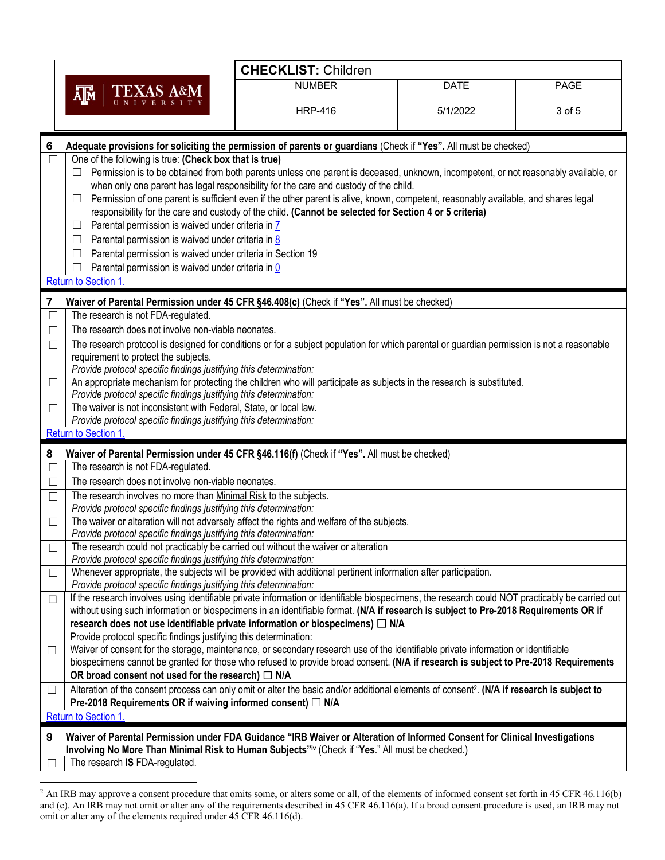|                           |                                                                                                                                                                                                                               | <b>CHECKLIST: Children</b>                                                                                                          |             |      |
|---------------------------|-------------------------------------------------------------------------------------------------------------------------------------------------------------------------------------------------------------------------------|-------------------------------------------------------------------------------------------------------------------------------------|-------------|------|
|                           |                                                                                                                                                                                                                               | <b>NUMBER</b>                                                                                                                       | <b>DATE</b> | PAGE |
| <b>TEXAS A&amp;M</b><br>ᄴ |                                                                                                                                                                                                                               |                                                                                                                                     |             |      |
|                           | <b>HRP-416</b>                                                                                                                                                                                                                | 5/1/2022                                                                                                                            | 3 of 5      |      |
| 6                         | Adequate provisions for soliciting the permission of parents or guardians (Check if "Yes". All must be checked)                                                                                                               |                                                                                                                                     |             |      |
|                           | One of the following is true: (Check box that is true)                                                                                                                                                                        |                                                                                                                                     |             |      |
|                           |                                                                                                                                                                                                                               | Permission is to be obtained from both parents unless one parent is deceased, unknown, incompetent, or not reasonably available, or |             |      |
|                           |                                                                                                                                                                                                                               | when only one parent has legal responsibility for the care and custody of the child.                                                |             |      |
|                           | $\Box$                                                                                                                                                                                                                        | Permission of one parent is sufficient even if the other parent is alive, known, competent, reasonably available, and shares legal  |             |      |
|                           |                                                                                                                                                                                                                               | responsibility for the care and custody of the child. (Cannot be selected for Section 4 or 5 criteria)                              |             |      |
|                           | Parental permission is waived under criteria in 7<br>$\Box$                                                                                                                                                                   |                                                                                                                                     |             |      |
|                           | Parental permission is waived under criteria in 8<br>$\Box$                                                                                                                                                                   |                                                                                                                                     |             |      |
|                           | Parental permission is waived under criteria in Section 19<br>$\Box$                                                                                                                                                          |                                                                                                                                     |             |      |
|                           | Parental permission is waived under criteria in 0<br>Return to Section 1.                                                                                                                                                     |                                                                                                                                     |             |      |
|                           |                                                                                                                                                                                                                               |                                                                                                                                     |             |      |
| 7                         | Waiver of Parental Permission under 45 CFR §46.408(c) (Check if "Yes". All must be checked)                                                                                                                                   |                                                                                                                                     |             |      |
|                           | The research is not FDA-regulated.                                                                                                                                                                                            |                                                                                                                                     |             |      |
| П                         | The research does not involve non-viable neonates.                                                                                                                                                                            |                                                                                                                                     |             |      |
| $\Box$                    | The research protocol is designed for conditions or for a subject population for which parental or guardian permission is not a reasonable                                                                                    |                                                                                                                                     |             |      |
|                           | requirement to protect the subjects.                                                                                                                                                                                          |                                                                                                                                     |             |      |
|                           | Provide protocol specific findings justifying this determination:                                                                                                                                                             |                                                                                                                                     |             |      |
| $\Box$                    | An appropriate mechanism for protecting the children who will participate as subjects in the research is substituted.<br>Provide protocol specific findings justifying this determination:                                    |                                                                                                                                     |             |      |
| $\Box$                    | The waiver is not inconsistent with Federal, State, or local law.                                                                                                                                                             |                                                                                                                                     |             |      |
|                           | Provide protocol specific findings justifying this determination:                                                                                                                                                             |                                                                                                                                     |             |      |
|                           | Return to Section 1                                                                                                                                                                                                           |                                                                                                                                     |             |      |
| 8                         | Waiver of Parental Permission under 45 CFR §46.116(f) (Check if "Yes". All must be checked)                                                                                                                                   |                                                                                                                                     |             |      |
|                           | The research is not FDA-regulated.                                                                                                                                                                                            |                                                                                                                                     |             |      |
| П                         | The research does not involve non-viable neonates.                                                                                                                                                                            |                                                                                                                                     |             |      |
| $\Box$                    | The research involves no more than Minimal Risk to the subjects.                                                                                                                                                              |                                                                                                                                     |             |      |
|                           | Provide protocol specific findings justifying this determination:                                                                                                                                                             |                                                                                                                                     |             |      |
| $\Box$                    | The waiver or alteration will not adversely affect the rights and welfare of the subjects.                                                                                                                                    |                                                                                                                                     |             |      |
|                           | Provide protocol specific findings justifying this determination:                                                                                                                                                             |                                                                                                                                     |             |      |
| □                         | The research could not practicably be carried out without the waiver or alteration<br>Provide protocol specific findings justifying this determination:                                                                       |                                                                                                                                     |             |      |
| $\Box$                    | Whenever appropriate, the subjects will be provided with additional pertinent information after participation.                                                                                                                |                                                                                                                                     |             |      |
|                           | Provide protocol specific findings justifying this determination:                                                                                                                                                             |                                                                                                                                     |             |      |
| □                         | If the research involves using identifiable private information or identifiable biospecimens, the research could NOT practicably be carried out                                                                               |                                                                                                                                     |             |      |
|                           | without using such information or biospecimens in an identifiable format. (N/A if research is subject to Pre-2018 Requirements OR if                                                                                          |                                                                                                                                     |             |      |
|                           | research does not use identifiable private information or biospecimens) $\Box$ N/A                                                                                                                                            |                                                                                                                                     |             |      |
|                           | Provide protocol specific findings justifying this determination:                                                                                                                                                             |                                                                                                                                     |             |      |
| $\Box$                    | Waiver of consent for the storage, maintenance, or secondary research use of the identifiable private information or identifiable                                                                                             |                                                                                                                                     |             |      |
|                           | biospecimens cannot be granted for those who refused to provide broad consent. (N/A if research is subject to Pre-2018 Requirements                                                                                           |                                                                                                                                     |             |      |
|                           | OR broad consent not used for the research) $\Box$ N/A                                                                                                                                                                        |                                                                                                                                     |             |      |
| $\Box$                    | Alteration of the consent process can only omit or alter the basic and/or additional elements of consent <sup>2</sup> . (N/A if research is subject to                                                                        |                                                                                                                                     |             |      |
|                           | Pre-2018 Requirements OR if waiving informed consent) □ N/A<br><b>Return to Section 1</b>                                                                                                                                     |                                                                                                                                     |             |      |
|                           |                                                                                                                                                                                                                               |                                                                                                                                     |             |      |
| 9                         | Waiver of Parental Permission under FDA Guidance "IRB Waiver or Alteration of Informed Consent for Clinical Investigations<br>Involving No More Than Minimal Risk to Human Subjects"iv (Check if "Yes." All must be checked.) |                                                                                                                                     |             |      |
|                           | The research IS FDA-regulated.                                                                                                                                                                                                |                                                                                                                                     |             |      |
|                           |                                                                                                                                                                                                                               |                                                                                                                                     |             |      |

 $^2$  An IRB may approve a consent procedure that omits some, or alters some or all, of the elements of informed consent set forth in 45 CFR 46.116(b) and (c). An IRB may not omit or alter any of the requirements described in 45 CFR 46.116(a). If a broad consent procedure is used, an IRB may not omit or alter any of the elements required under 45 CFR 46.116(d).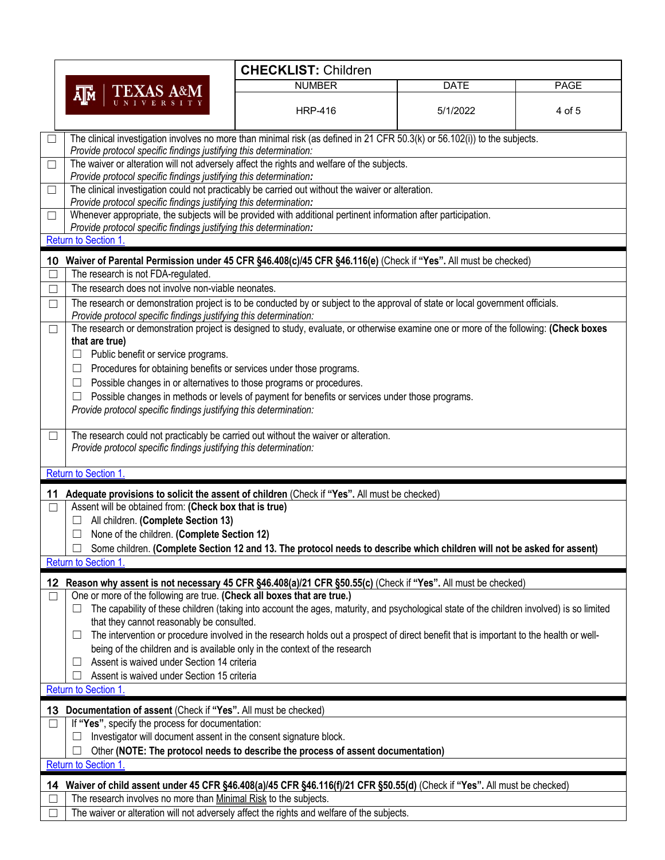|        |                                                                                                                                                                                                     | <b>CHECKLIST: Children</b>                                                                                                                |             |             |
|--------|-----------------------------------------------------------------------------------------------------------------------------------------------------------------------------------------------------|-------------------------------------------------------------------------------------------------------------------------------------------|-------------|-------------|
|        | <b>TEXAS A&amp;M</b>                                                                                                                                                                                | <b>NUMBER</b>                                                                                                                             | <b>DATE</b> | <b>PAGE</b> |
|        | ĀГм                                                                                                                                                                                                 | <b>HRP-416</b>                                                                                                                            | 5/1/2022    | 4 of 5      |
|        | The clinical investigation involves no more than minimal risk (as defined in 21 CFR 50.3(k) or 56.102(i)) to the subjects.<br>Provide protocol specific findings justifying this determination:     |                                                                                                                                           |             |             |
| $\Box$ | The waiver or alteration will not adversely affect the rights and welfare of the subjects.<br>Provide protocol specific findings justifying this determination:                                     |                                                                                                                                           |             |             |
| $\Box$ | The clinical investigation could not practicably be carried out without the waiver or alteration.<br>Provide protocol specific findings justifying this determination:                              |                                                                                                                                           |             |             |
| $\Box$ | Whenever appropriate, the subjects will be provided with additional pertinent information after participation.<br>Provide protocol specific findings justifying this determination:                 |                                                                                                                                           |             |             |
|        | Return to Section 1.                                                                                                                                                                                |                                                                                                                                           |             |             |
|        | 10 Waiver of Parental Permission under 45 CFR §46.408(c)/45 CFR §46.116(e) (Check if "Yes". All must be checked)                                                                                    |                                                                                                                                           |             |             |
| □      | The research is not FDA-regulated.                                                                                                                                                                  |                                                                                                                                           |             |             |
| □      | The research does not involve non-viable neonates.                                                                                                                                                  |                                                                                                                                           |             |             |
| $\Box$ | The research or demonstration project is to be conducted by or subject to the approval of state or local government officials.<br>Provide protocol specific findings justifying this determination: |                                                                                                                                           |             |             |
| $\Box$ | The research or demonstration project is designed to study, evaluate, or otherwise examine one or more of the following: (Check boxes<br>that are true)                                             |                                                                                                                                           |             |             |
|        | Public benefit or service programs.<br>$\Box$                                                                                                                                                       |                                                                                                                                           |             |             |
|        | Procedures for obtaining benefits or services under those programs.<br>$\Box$                                                                                                                       |                                                                                                                                           |             |             |
|        | Possible changes in or alternatives to those programs or procedures.<br>⊔                                                                                                                           |                                                                                                                                           |             |             |
|        | $\Box$                                                                                                                                                                                              | Possible changes in methods or levels of payment for benefits or services under those programs.                                           |             |             |
|        | Provide protocol specific findings justifying this determination:                                                                                                                                   |                                                                                                                                           |             |             |
| □      | The research could not practicably be carried out without the waiver or alteration.<br>Provide protocol specific findings justifying this determination:                                            |                                                                                                                                           |             |             |
|        | Return to Section 1.                                                                                                                                                                                |                                                                                                                                           |             |             |
|        | 11 Adequate provisions to solicit the assent of children (Check if "Yes". All must be checked)                                                                                                      |                                                                                                                                           |             |             |
| □      | Assent will be obtained from: (Check box that is true)                                                                                                                                              |                                                                                                                                           |             |             |
|        | All children. (Complete Section 13)                                                                                                                                                                 |                                                                                                                                           |             |             |
|        | None of the children. (Complete Section 12)                                                                                                                                                         |                                                                                                                                           |             |             |
|        |                                                                                                                                                                                                     | Some children. (Complete Section 12 and 13. The protocol needs to describe which children will not be asked for assent)                   |             |             |
|        | <b>Return to Section 1</b>                                                                                                                                                                          |                                                                                                                                           |             |             |
|        | 12 Reason why assent is not necessary 45 CFR §46.408(a)/21 CFR §50.55(c) (Check if "Yes". All must be checked)                                                                                      |                                                                                                                                           |             |             |
| $\Box$ | One or more of the following are true. (Check all boxes that are true.)<br>ப                                                                                                                        | The capability of these children (taking into account the ages, maturity, and psychological state of the children involved) is so limited |             |             |
|        | that they cannot reasonably be consulted.                                                                                                                                                           |                                                                                                                                           |             |             |
|        | ப                                                                                                                                                                                                   | The intervention or procedure involved in the research holds out a prospect of direct benefit that is important to the health or well-    |             |             |
|        | being of the children and is available only in the context of the research                                                                                                                          |                                                                                                                                           |             |             |
|        | Assent is waived under Section 14 criteria                                                                                                                                                          |                                                                                                                                           |             |             |
|        | Assent is waived under Section 15 criteria                                                                                                                                                          |                                                                                                                                           |             |             |
|        | Return to Section 1.                                                                                                                                                                                |                                                                                                                                           |             |             |
| 13     | Documentation of assent (Check if "Yes". All must be checked)                                                                                                                                       |                                                                                                                                           |             |             |
| $\Box$ | If "Yes", specify the process for documentation:<br>Investigator will document assent in the consent signature block.                                                                               |                                                                                                                                           |             |             |
|        |                                                                                                                                                                                                     | Other (NOTE: The protocol needs to describe the process of assent documentation)                                                          |             |             |
|        | Return to Section 1.                                                                                                                                                                                |                                                                                                                                           |             |             |
| 14     | Waiver of child assent under 45 CFR §46.408(a)/45 CFR §46.116(f)/21 CFR §50.55(d) (Check if "Yes". All must be checked)                                                                             |                                                                                                                                           |             |             |
|        | The research involves no more than Minimal Risk to the subjects.                                                                                                                                    |                                                                                                                                           |             |             |
|        | The waiver or alteration will not adversely affect the rights and welfare of the subjects.                                                                                                          |                                                                                                                                           |             |             |